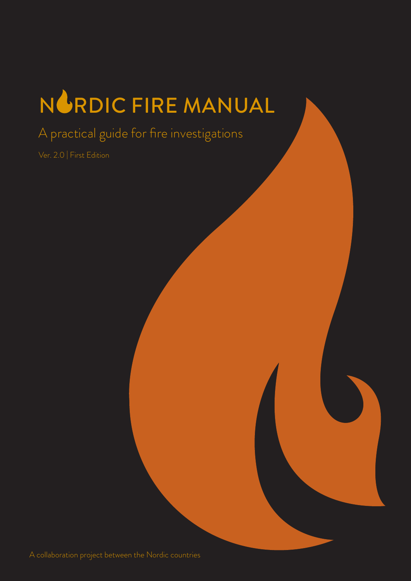# NGRDIC FIRE MANUAL

A practical guide for fire investigations

Ver. 2.0 | First Edition

A collaboration project between the Nordic countries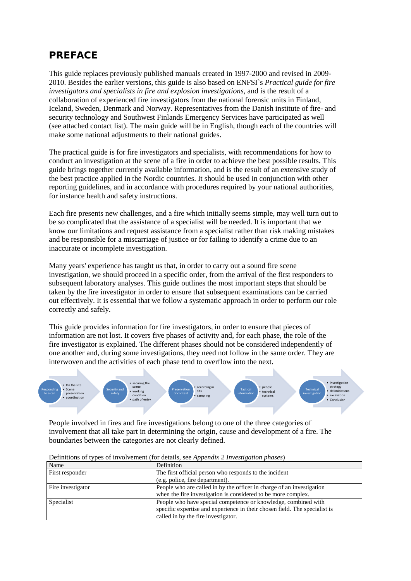## <span id="page-1-0"></span>**PREFACE**

This guide replaces previously published manuals created in 1997-2000 and revised in 2009- 2010. Besides the earlier versions, this guide is also based on ENFSI`s *Practical guide for fire investigators and specialists in fire and explosion investigations*, and is the result of a collaboration of experienced fire investigators from the national forensic units in Finland, Iceland, Sweden, Denmark and Norway. Representatives from the Danish institute of fire- and security technology and Southwest Finlands Emergency Services have participated as well (see attached contact list). The main guide will be in English, though each of the countries will make some national adjustments to their national guides.

The practical guide is for fire investigators and specialists, with recommendations for how to conduct an investigation at the scene of a fire in order to achieve the best possible results. This guide brings together currently available information, and is the result of an extensive study of the best practice applied in the Nordic countries. It should be used in conjunction with other reporting guidelines, and in accordance with procedures required by your national authorities, for instance health and safety instructions.

Each fire presents new challenges, and a fire which initially seems simple, may well turn out to be so complicated that the assistance of a specialist will be needed. It is important that we know our limitations and request assistance from a specialist rather than risk making mistakes and be responsible for a miscarriage of justice or for failing to identify a crime due to an inaccurate or incomplete investigation.

Many years' experience has taught us that, in order to carry out a sound fire scene investigation, we should proceed in a specific order, from the arrival of the first responders to subsequent laboratory analyses. This guide outlines the most important steps that should be taken by the fire investigator in order to ensure that subsequent examinations can be carried out effectively. It is essential that we follow a systematic approach in order to perform our role correctly and safely.

This guide provides information for fire investigators, in order to ensure that pieces of information are not lost. It covers five phases of activity and, for each phase, the role of the fire investigator is explained. The different phases should not be considered independently of one another and, during some investigations, they need not follow in the same order. They are interwoven and the activities of each phase tend to overflow into the next.



People involved in fires and fire investigations belong to one of the three categories of involvement that all take part in determining the origin, cause and development of a fire. The boundaries between the categories are not clearly defined.

| Name              | Definition                                                                 |  |
|-------------------|----------------------------------------------------------------------------|--|
| First responder   | The first official person who responds to the incident                     |  |
|                   | (e.g. police, fire department).                                            |  |
| Fire investigator | People who are called in by the officer in charge of an investigation      |  |
|                   | when the fire investigation is considered to be more complex.              |  |
| Specialist        | People who have special competence or knowledge, combined with             |  |
|                   | specific expertise and experience in their chosen field. The specialist is |  |
|                   | called in by the fire investigator.                                        |  |

Definitions of types of involvement (for details, see *Appendix 2 Investigation phases*)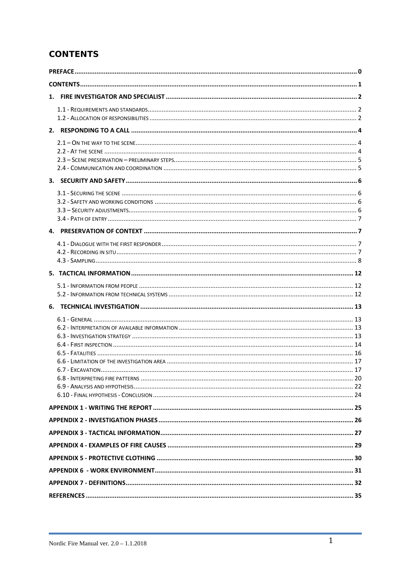### <span id="page-2-0"></span>**CONTENTS**

<span id="page-2-1"></span>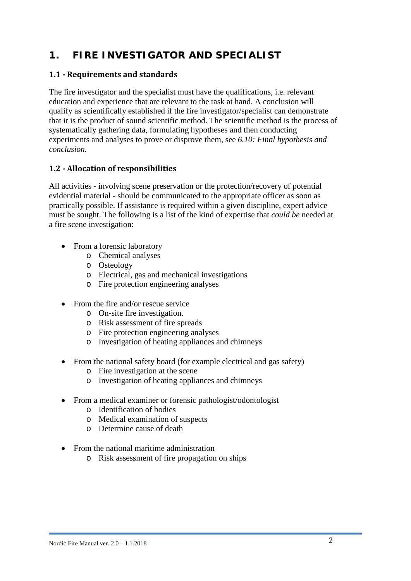# **1. FIRE INVESTIGATOR AND SPECIALIST**

#### <span id="page-3-0"></span>**1.1 - Requirements and standards**

The fire investigator and the specialist must have the qualifications, i.e. relevant education and experience that are relevant to the task at hand. A conclusion will qualify as scientifically established if the fire investigator/specialist can demonstrate that it is the product of sound [scientific method.](https://en.wikipedia.org/wiki/Scientific_method) The scientific method is the process of systematically gathering data, formulating hypotheses and then conducting experiments and analyses to prove or disprove them, see *6.10: Final hypothesis and conclusion.*

#### <span id="page-3-1"></span>**1.2 - Allocation of responsibilities**

All activities - involving scene preservation or the protection/recovery of potential evidential material - should be communicated to the appropriate officer as soon as practically possible. If assistance is required within a given discipline, expert advice must be sought. The following is a list of the kind of expertise that *could be* needed at a fire scene investigation:

- From a forensic laboratory
	- o Chemical analyses
	- o Osteology
	- o Electrical, gas and mechanical investigations
	- o Fire protection engineering analyses
- From the fire and/or rescue service
	- o On-site fire investigation.
	- o Risk assessment of fire spreads
	- o Fire protection engineering analyses
	- o Investigation of heating appliances and chimneys
- From the national safety board (for example electrical and gas safety)
	- o Fire investigation at the scene
	- o Investigation of heating appliances and chimneys
- From a medical examiner or forensic pathologist/odontologist
	- o Identification of bodies
	- o Medical examination of suspects
	- o Determine cause of death
- From the national maritime administration
	- o Risk assessment of fire propagation on ships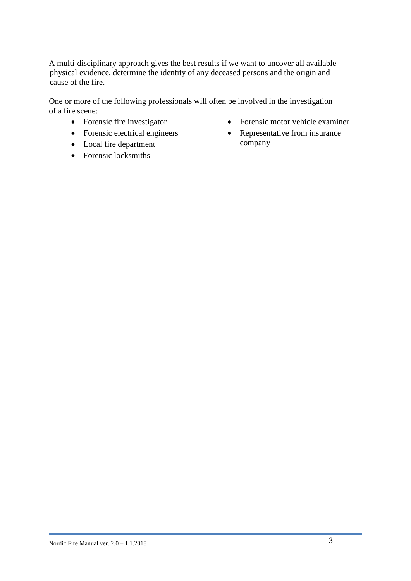A multi-disciplinary approach gives the best results if we want to uncover all available physical evidence, determine the identity of any deceased persons and the origin and cause of the fire.

One or more of the following professionals will often be involved in the investigation of a fire scene:

- Forensic fire investigator
- Forensic electrical engineers
- Local fire department
- Forensic locksmiths
- Forensic motor vehicle examiner
- Representative from insurance company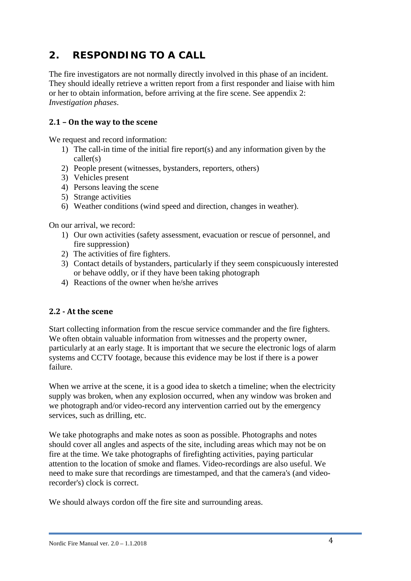# <span id="page-5-0"></span>**2. RESPONDING TO A CALL**

The fire investigators are not normally directly involved in this phase of an incident. They should ideally retrieve a written report from a first responder and liaise with him or her to obtain information, before arriving at the fire scene. See appendix 2: *Investigation phases*.

#### <span id="page-5-1"></span>**2.1 – On the way to the scene**

We request and record information:

- 1) The call-in time of the initial fire report(s) and any information given by the caller(s)
- 2) People present (witnesses, bystanders, reporters, others)
- 3) Vehicles present
- 4) Persons leaving the scene
- 5) Strange activities
- 6) Weather conditions (wind speed and direction, changes in weather).

On our arrival, we record:

- 1) Our own activities (safety assessment, evacuation or rescue of personnel, and fire suppression)
- 2) The activities of fire fighters.
- 3) Contact details of bystanders, particularly if they seem conspicuously interested or behave oddly, or if they have been taking photograph
- 4) Reactions of the owner when he/she arrives

#### <span id="page-5-2"></span>**2.2 - At the scene**

Start collecting information from the rescue service commander and the fire fighters. We often obtain valuable information from witnesses and the property owner. particularly at an early stage. It is important that we secure the electronic logs of alarm systems and CCTV footage, because this evidence may be lost if there is a power failure.

When we arrive at the scene, it is a good idea to sketch a timeline; when the electricity supply was broken, when any explosion occurred, when any window was broken and we photograph and/or video-record any intervention carried out by the emergency services, such as drilling, etc.

We take photographs and make notes as soon as possible. Photographs and notes should cover all angles and aspects of the site, including areas which may not be on fire at the time. We take photographs of firefighting activities, paying particular attention to the location of smoke and flames. Video-recordings are also useful. We need to make sure that recordings are timestamped, and that the camera's (and videorecorder's) clock is correct.

<span id="page-5-3"></span>We should always cordon off the fire site and surrounding areas.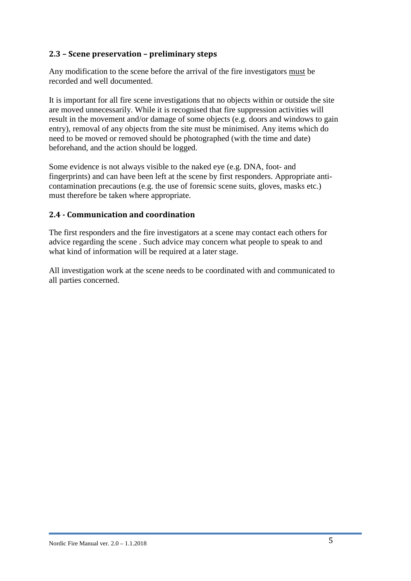#### **2.3 – Scene preservation – preliminary steps**

Any modification to the scene before the arrival of the fire investigators must be recorded and well documented.

It is important for all fire scene investigations that no objects within or outside the site are moved unnecessarily. While it is recognised that fire suppression activities will result in the movement and/or damage of some objects (e.g. doors and windows to gain entry), removal of any objects from the site must be minimised. Any items which do need to be moved or removed should be photographed (with the time and date) beforehand, and the action should be logged.

Some evidence is not always visible to the naked eye (e.g. DNA, foot- and fingerprints) and can have been left at the scene by first responders. Appropriate anticontamination precautions (e.g. the use of forensic scene suits, gloves, masks etc.) must therefore be taken where appropriate.

#### <span id="page-6-0"></span>**2.4 - Communication and coordination**

The first responders and the fire investigators at a scene may contact each others for advice regarding the scene . Such advice may concern what people to speak to and what kind of information will be required at a later stage.

All investigation work at the scene needs to be coordinated with and communicated to all parties concerned.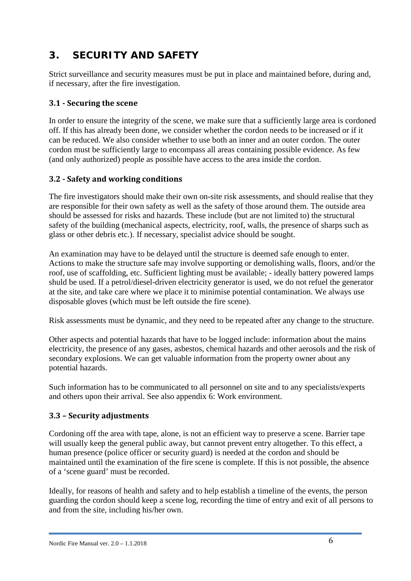# <span id="page-7-0"></span>**3. SECURITY AND SAFETY**

Strict surveillance and security measures must be put in place and maintained before, during and, if necessary, after the fire investigation.

#### <span id="page-7-1"></span>**3.1 - Securing the scene**

In order to ensure the integrity of the scene, we make sure that a sufficiently large area is cordoned off. If this has already been done, we consider whether the cordon needs to be increased or if it can be reduced. We also consider whether to use both an inner and an outer cordon. The outer cordon must be sufficiently large to encompass all areas containing possible evidence. As few (and only authorized) people as possible have access to the area inside the cordon.

#### <span id="page-7-2"></span>**3.2 - Safety and working conditions**

The fire investigators should make their own on-site risk assessments, and should realise that they are responsible for their own safety as well as the safety of those around them. The outside area should be assessed for risks and hazards. These include (but are not limited to) the structural safety of the building (mechanical aspects, electricity, roof, walls, the presence of sharps such as glass or other debris etc.). If necessary, specialist advice should be sought.

An examination may have to be delayed until the structure is deemed safe enough to enter. Actions to make the structure safe may involve supporting or demolishing walls, floors, and/or the roof, use of scaffolding, etc. Sufficient lighting must be available; - ideally battery powered lamps shuld be used. If a petrol/diesel-driven electricity generator is used, we do not refuel the generator at the site, and take care where we place it to minimise potential contamination. We always use disposable gloves (which must be left outside the fire scene).

Risk assessments must be dynamic, and they need to be repeated after any change to the structure.

Other aspects and potential hazards that have to be logged include: information about the mains electricity, the presence of any gases, asbestos, chemical hazards and other aerosols and the risk of secondary explosions. We can get valuable information from the property owner about any potential hazards.

Such information has to be communicated to all personnel on site and to any specialists/experts and others upon their arrival. See also appendix 6: Work environment.

#### <span id="page-7-3"></span>**3.3 – Security adjustments**

Cordoning off the area with tape, alone, is not an efficient way to preserve a scene. Barrier tape will usually keep the general public away, but cannot prevent entry altogether. To this effect, a human presence (police officer or security guard) is needed at the cordon and should be maintained until the examination of the fire scene is complete. If this is not possible, the absence of a 'scene guard' must be recorded.

Ideally, for reasons of health and safety and to help establish a timeline of the events, the person guarding the cordon should keep a scene log, recording the time of entry and exit of all persons to and from the site, including his/her own.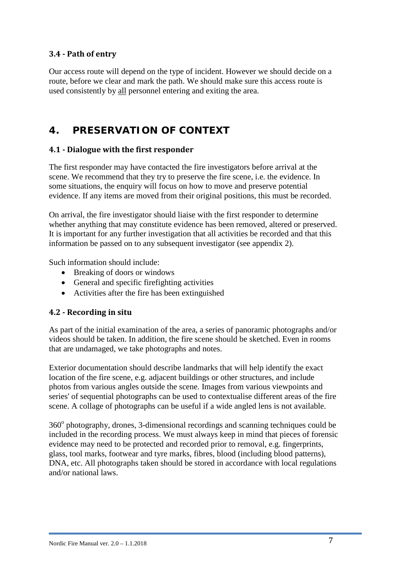#### <span id="page-8-0"></span>**3.4 - Path of entry**

Our access route will depend on the type of incident. However we should decide on a route, before we clear and mark the path. We should make sure this access route is used consistently by all personnel entering and exiting the area.

## <span id="page-8-1"></span>**4. PRESERVATION OF CONTEXT**

#### <span id="page-8-2"></span>**4.1 - Dialogue with the first responder**

The first responder may have contacted the fire investigators before arrival at the scene. We recommend that they try to preserve the fire scene, i.e. the evidence. In some situations, the enquiry will focus on how to move and preserve potential evidence. If any items are moved from their original positions, this must be recorded.

On arrival, the fire investigator should liaise with the first responder to determine whether anything that may constitute evidence has been removed, altered or preserved. It is important for any further investigation that all activities be recorded and that this information be passed on to any subsequent investigator (see appendix 2).

Such information should include:

- Breaking of doors or windows
- General and specific firefighting activities
- Activities after the fire has been extinguished

#### <span id="page-8-3"></span>**4.2 - Recording in situ**

As part of the initial examination of the area, a series of panoramic photographs and/or videos should be taken. In addition, the fire scene should be sketched. Even in rooms that are undamaged, we take photographs and notes.

Exterior documentation should describe landmarks that will help identify the exact location of the fire scene, e.g. adjacent buildings or other structures, and include photos from various angles outside the scene. Images from various viewpoints and series' of sequential photographs can be used to contextualise different areas of the fire scene. A collage of photographs can be useful if a wide angled lens is not available.

<span id="page-8-4"></span>360° photography, drones, 3-dimensional recordings and scanning techniques could be included in the recording process. We must always keep in mind that pieces of forensic evidence may need to be protected and recorded prior to removal, e.g. fingerprints, glass, tool marks, footwear and tyre marks, fibres, blood (including blood patterns), DNA, etc. All photographs taken should be stored in accordance with local regulations and/or national laws.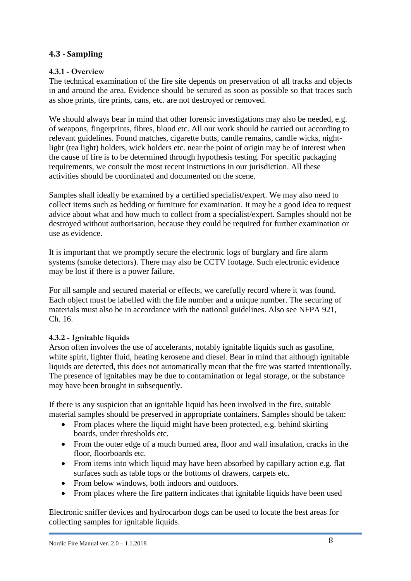#### **4.3 - Sampling**

#### **4.3.1 - Overview**

The technical examination of the fire site depends on preservation of all tracks and objects in and around the area. Evidence should be secured as soon as possible so that traces such as shoe prints, tire prints, cans, etc. are not destroyed or removed.

We should always bear in mind that other forensic investigations may also be needed, e.g. of weapons, fingerprints, fibres, blood etc. All our work should be carried out according to relevant guidelines. Found matches, cigarette butts, candle remains, candle wicks, nightlight (tea light) holders, wick holders etc. near the point of origin may be of interest when the cause of fire is to be determined through hypothesis testing. For specific packaging requirements, we consult the most recent instructions in our jurisdiction. All these activities should be coordinated and documented on the scene.

Samples shall ideally be examined by a certified specialist/expert. We may also need to collect items such as bedding or furniture for examination. It may be a good idea to request advice about what and how much to collect from a specialist/expert. Samples should not be destroyed without authorisation, because they could be required for further examination or use as evidence.

It is important that we promptly secure the electronic logs of burglary and fire alarm systems (smoke detectors). There may also be CCTV footage. Such electronic evidence may be lost if there is a power failure.

For all sample and secured material or effects, we carefully record where it was found. Each object must be labelled with the file number and a unique number. The securing of materials must also be in accordance with the national guidelines. Also see NFPA 921, Ch. 16.

#### **4.3.2 - Ignitable liquids**

Arson often involves the use of accelerants, notably ignitable liquids such as gasoline, white spirit, lighter fluid, heating kerosene and diesel. Bear in mind that although ignitable liquids are detected, this does not automatically mean that the fire was started intentionally. The presence of ignitables may be due to contamination or legal storage, or the substance may have been brought in subsequently.

If there is any suspicion that an ignitable liquid has been involved in the fire, suitable material samples should be preserved in appropriate containers. Samples should be taken:

- From places where the liquid might have been protected, e.g. behind skirting boards, under thresholds etc.
- From the outer edge of a much burned area, floor and wall insulation, cracks in the floor, floorboards etc.
- From items into which liquid may have been absorbed by capillary action e.g. flat surfaces such as table tops or the bottoms of drawers, carpets etc.
- From below windows, both indoors and outdoors.
- From places where the fire pattern indicates that ignitable liquids have been used

Electronic sniffer devices and hydrocarbon dogs can be used to locate the best areas for collecting samples for ignitable liquids.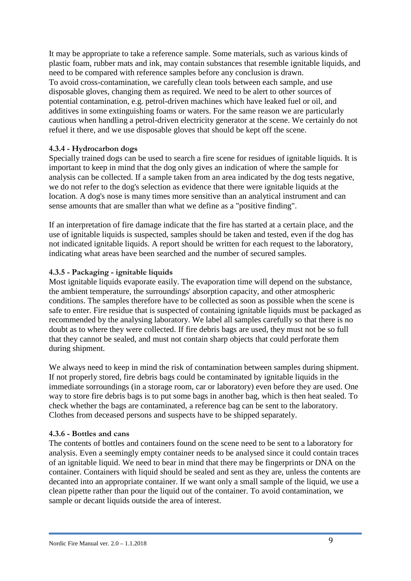It may be appropriate to take a reference sample. Some materials, such as various kinds of plastic foam, rubber mats and ink, may contain substances that resemble ignitable liquids, and need to be compared with reference samples before any conclusion is drawn. To avoid cross-contamination, we carefully clean tools between each sample, and use disposable gloves, changing them as required. We need to be alert to other sources of potential contamination, e.g. petrol-driven machines which have leaked fuel or oil, and additives in some extinguishing foams or waters. For the same reason we are particularly cautious when handling a petrol-driven electricity generator at the scene. We certainly do not refuel it there, and we use disposable gloves that should be kept off the scene.

#### **4.3.4 - Hydrocarbon dogs**

Specially trained dogs can be used to search a fire scene for residues of ignitable liquids. It is important to keep in mind that the dog only gives an indication of where the sample for analysis can be collected. If a sample taken from an area indicated by the dog tests negative, we do not refer to the dog's selection as evidence that there were ignitable liquids at the location. A dog's nose is many times more sensitive than an analytical instrument and can sense amounts that are smaller than what we define as a "positive finding".

If an interpretation of fire damage indicate that the fire has started at a certain place, and the use of ignitable liquids is suspected, samples should be taken and tested, even if the dog has not indicated ignitable liquids. A report should be written for each request to the laboratory, indicating what areas have been searched and the number of secured samples.

#### **4.3.5 - Packaging - ignitable liquids**

Most ignitable liquids evaporate easily. The evaporation time will depend on the substance, the ambient temperature, the surroundings' absorption capacity, and other atmospheric conditions. The samples therefore have to be collected as soon as possible when the scene is safe to enter. Fire residue that is suspected of containing ignitable liquids must be packaged as recommended by the analysing laboratory. We label all samples carefully so that there is no doubt as to where they were collected. If fire debris bags are used, they must not be so full that they cannot be sealed, and must not contain sharp objects that could perforate them during shipment.

We always need to keep in mind the risk of contamination between samples during shipment. If not properly stored, fire debris bags could be contaminated by ignitable liquids in the immediate sorroundings (in a storage room, car or laboratory) even before they are used. One way to store fire debris bags is to put some bags in another bag, which is then heat sealed. To check whether the bags are contaminated, a reference bag can be sent to the laboratory. Clothes from deceased persons and suspects have to be shipped separately.

#### **4.3.6 - Bottles and cans**

The contents of bottles and containers found on the scene need to be sent to a laboratory for analysis. Even a seemingly empty container needs to be analysed since it could contain traces of an ignitable liquid. We need to bear in mind that there may be fingerprints or DNA on the container. Containers with liquid should be sealed and sent as they are, unless the contents are decanted into an appropriate container. If we want only a small sample of the liquid, we use a clean pipette rather than pour the liquid out of the container. To avoid contamination, we sample or decant liquids outside the area of interest.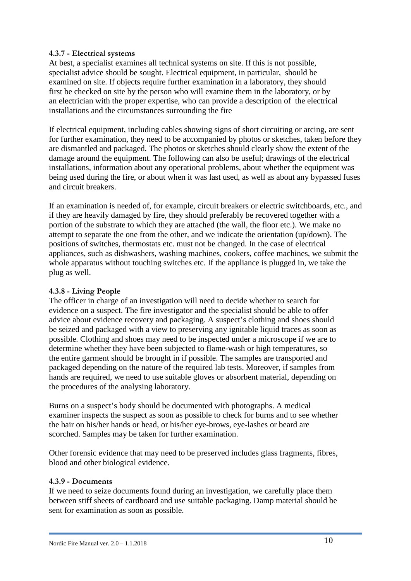#### **4.3.7 - Electrical systems**

At best, a specialist examines all technical systems on site. If this is not possible, specialist advice should be sought. Electrical equipment, in particular, should be examined on site. If objects require further examination in a laboratory, they should first be checked on site by the person who will examine them in the laboratory, or by an electrician with the proper expertise, who can provide a description of the electrical installations and the circumstances surrounding the fire

If electrical equipment, including cables showing signs of short circuiting or arcing, are sent for further examination, they need to be accompanied by photos or sketches, taken before they are dismantled and packaged. The photos or sketches should clearly show the extent of the damage around the equipment. The following can also be useful; drawings of the electrical installations, information about any operational problems, about whether the equipment was being used during the fire, or about when it was last used, as well as about any bypassed fuses and circuit breakers.

If an examination is needed of, for example, circuit breakers or electric switchboards, etc., and if they are heavily damaged by fire, they should preferably be recovered together with a portion of the substrate to which they are attached (the wall, the floor etc.). We make no attempt to separate the one from the other, and we indicate the orientation (up/down). The positions of switches, thermostats etc. must not be changed. In the case of electrical appliances, such as dishwashers, washing machines, cookers, coffee machines, we submit the whole apparatus without touching switches etc. If the appliance is plugged in, we take the plug as well.

#### **4.3.8 - Living People**

The officer in charge of an investigation will need to decide whether to search for evidence on a suspect. The fire investigator and the specialist should be able to offer advice about evidence recovery and packaging. A suspect's clothing and shoes should be seized and packaged with a view to preserving any ignitable liquid traces as soon as possible. Clothing and shoes may need to be inspected under a microscope if we are to determine whether they have been subjected to flame-wash or high temperatures, so the entire garment should be brought in if possible. The samples are transported and packaged depending on the nature of the required lab tests. Moreover, if samples from hands are required, we need to use suitable gloves or absorbent material, depending on the procedures of the analysing laboratory.

Burns on a suspect's body should be documented with photographs. A medical examiner inspects the suspect as soon as possible to check for burns and to see whether the hair on his/her hands or head, or his/her eye-brows, eye-lashes or beard are scorched. Samples may be taken for further examination.

Other forensic evidence that may need to be preserved includes glass fragments, fibres, blood and other biological evidence.

#### **4.3.9 - Documents**

If we need to seize documents found during an investigation, we carefully place them between stiff sheets of cardboard and use suitable packaging. Damp material should be sent for examination as soon as possible.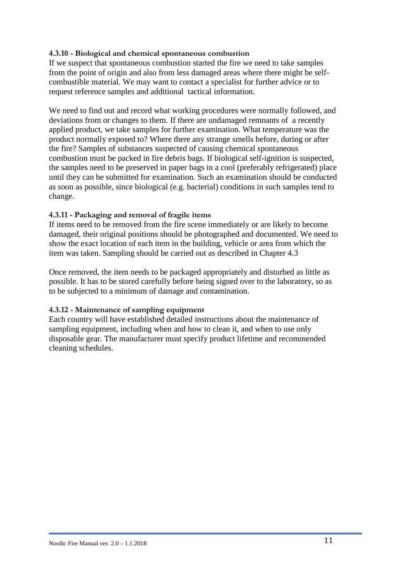#### **4.3.10 - Biological and chemical spontaneous combustion**

If we suspect that spontaneous combustion started the fire we need to take samples from the point of origin and also from less damaged areas where there might be selfcombustible material. We may want to contact a specialist for further advice or to request reference samples and additional tactical information.

We need to find out and record what working procedures were normally followed, and deviations from or changes to them. If there are undamaged remnants of a recently applied product, we take samples for further examination. What temperature was the product normally exposed to? Where there any strange smells before, during or after the fire? Samples of substances suspected of causing chemical spontaneous combustion must be packed in fire debris bags. If biological self-ignition is suspected, the samples need to be preserved in paper bags in a cool (preferably refrigerated) place until they can be submitted for examination. Such an examination should be conducted as soon as possible, since biological (e.g. bacterial) conditions in such samples tend to change.

#### **4.3.11 - Packaging and removal of fragile items**

If items need to be removed from the fire scene immediately or are likely to become damaged, their original positions should be photographed and documented. We need to show the exact location of each item in the building, vehicle or area from which the item was taken. Sampling should be carried out as described in Chapter 4.3

Once removed, the item needs to be packaged appropriately and disturbed as little as possible. It has to be stored carefully before being signed over to the laboratory, so as to be subjected to a minimum of damage and contamination.

#### **4.3.12 - Maintenance of sampling equipment**

Each country will have established detailed instructions about the maintenance of sampling equipment, including when and how to clean it, and when to use only disposable gear. The manufacturer must specify product lifetime and recommended cleaning schedules.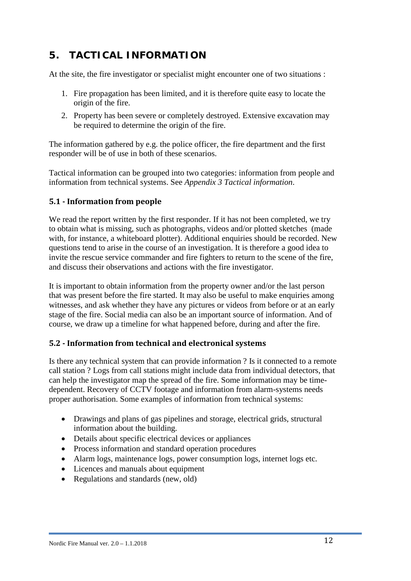# <span id="page-13-0"></span>**5. TACTICAL INFORMATION**

At the site, the fire investigator or specialist might encounter one of two situations :

- 1. Fire propagation has been limited, and it is therefore quite easy to locate the origin of the fire.
- 2. Property has been severe or completely destroyed. Extensive excavation may be required to determine the origin of the fire.

The information gathered by e.g. the police officer, the fire department and the first responder will be of use in both of these scenarios.

Tactical information can be grouped into two categories: information from people and information from technical systems. See *Appendix 3 Tactical information*.

#### <span id="page-13-1"></span>**5.1 - Information from people**

We read the report written by the first responder. If it has not been completed, we try to obtain what is missing, such as photographs, videos and/or plotted sketches (made with, for instance, a whiteboard plotter). Additional enquiries should be recorded. New questions tend to arise in the course of an investigation. It is therefore a good idea to invite the rescue service commander and fire fighters to return to the scene of the fire, and discuss their observations and actions with the fire investigator.

It is important to obtain information from the property owner and/or the last person that was present before the fire started. It may also be useful to make enquiries among witnesses, and ask whether they have any pictures or videos from before or at an early stage of the fire. Social media can also be an important source of information. And of course, we draw up a timeline for what happened before, during and after the fire.

#### <span id="page-13-2"></span>**5.2 - Information from technical and electronical systems**

Is there any technical system that can provide information ? Is it connected to a remote call station ? Logs from call stations might include data from individual detectors, that can help the investigator map the spread of the fire. Some information may be timedependent. Recovery of CCTV footage and information from alarm-systems needs proper authorisation. Some examples of information from technical systems:

- Drawings and plans of gas pipelines and storage, electrical grids, structural information about the building.
- Details about specific electrical devices or appliances
- Process information and standard operation procedures
- Alarm logs, maintenance logs, power consumption logs, internet logs etc.
- Licences and manuals about equipment
- <span id="page-13-3"></span>• Regulations and standards (new, old)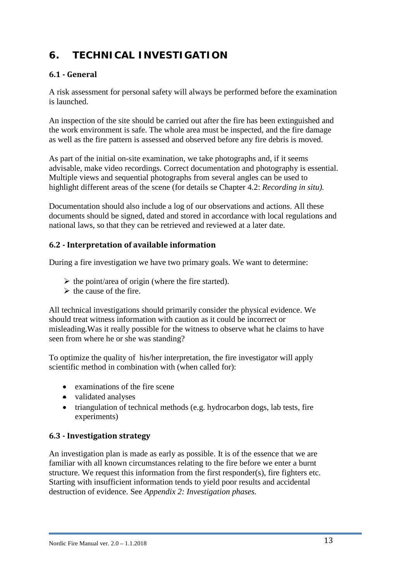# **6. TECHNICAL INVESTIGATION**

#### <span id="page-14-0"></span>**6.1 - General**

A risk assessment for personal safety will always be performed before the examination is launched.

An inspection of the site should be carried out after the fire has been extinguished and the work environment is safe. The whole area must be inspected, and the fire damage as well as the fire pattern is assessed and observed before any fire debris is moved.

As part of the initial on-site examination, we take photographs and, if it seems advisable, make video recordings. Correct documentation and photography is essential. Multiple views and sequential photographs from several angles can be used to highlight different areas of the scene (for details se Chapter 4.2: *Recording in situ).*

Documentation should also include a log of our observations and actions. All these documents should be signed, dated and stored in accordance with local regulations and national laws, so that they can be retrieved and reviewed at a later date.

#### <span id="page-14-1"></span>**6.2 - Interpretation of available information**

During a fire investigation we have two primary goals. We want to determine:

- $\triangleright$  the point/area of origin (where the fire started).
- $\triangleright$  the cause of the fire.

All technical investigations should primarily consider the physical evidence. We should treat witness information with caution as it could be incorrect or misleading.Was it really possible for the witness to observe what he claims to have seen from where he or she was standing?

To optimize the quality of his/her interpretation, the fire investigator will apply scientific method in combination with (when called for):

- examinations of the fire scene
- validated analyses
- triangulation of technical methods (e.g. hydrocarbon dogs, lab tests, fire experiments)

#### <span id="page-14-2"></span>**6.3 - Investigation strategy**

An investigation plan is made as early as possible. It is of the essence that we are familiar with all known circumstances relating to the fire before we enter a burnt structure. We request this information from the first responder(s), fire fighters etc. Starting with insufficient information tends to yield poor results and accidental destruction of evidence. See *Appendix 2: Investigation phases.*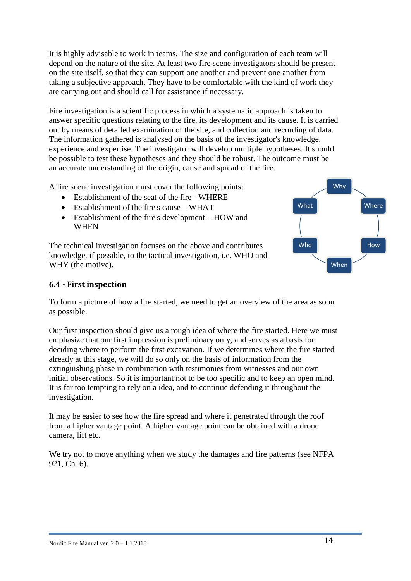It is highly advisable to work in teams. The size and configuration of each team will depend on the nature of the site. At least two fire scene investigators should be present on the site itself, so that they can support one another and prevent one another from taking a subjective approach. They have to be comfortable with the kind of work they are carrying out and should call for assistance if necessary.

Fire investigation is a scientific process in which a systematic approach is taken to answer specific questions relating to the fire, its development and its cause. It is carried out by means of detailed examination of the site, and collection and recording of data. The information gathered is analysed on the basis of the investigator's knowledge, experience and expertise. The investigator will develop multiple hypotheses. It should be possible to test these hypotheses and they should be robust. The outcome must be an accurate understanding of the origin, cause and spread of the fire.

A fire scene investigation must cover the following points:

- Establishment of the seat of the fire WHERE
- Establishment of the fire's cause WHAT
- Establishment of the fire's development HOW and WHEN

The technical investigation focuses on the above and contributes knowledge, if possible, to the tactical investigation, i.e. WHO and WHY (the motive).

#### <span id="page-15-0"></span>**6.4 - First inspection**

To form a picture of how a fire started, we need to get an overview of the area as soon as possible.

Our first inspection should give us a rough idea of where the fire started. Here we must emphasize that our first impression is preliminary only, and serves as a basis for deciding where to perform the first excavation. If we determines where the fire started already at this stage, we will do so only on the basis of information from the extinguishing phase in combination with testimonies from witnesses and our own initial observations. So it is important not to be too specific and to keep an open mind. It is far too tempting to rely on a idea, and to continue defending it throughout the investigation.

It may be easier to see how the fire spread and where it penetrated through the roof from a higher vantage point. A higher vantage point can be obtained with a drone camera, lift etc.

We try not to move anything when we study the damages and fire patterns (see NFPA) 921, Ch. 6).

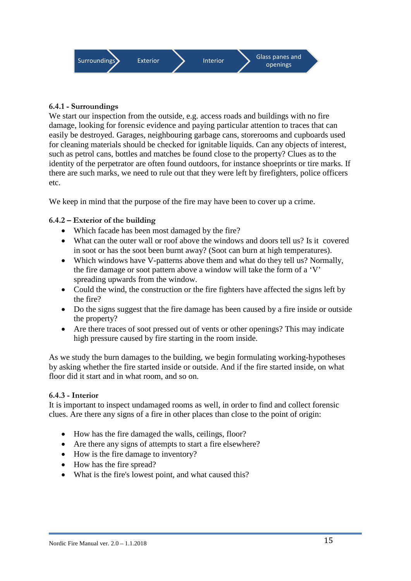

#### **6.4.1 - Surroundings**

We start our inspection from the outside, e.g. access roads and buildings with no fire damage, looking for forensic evidence and paying particular attention to traces that can easily be destroyed. Garages, neighbouring garbage cans, storerooms and cupboards used for cleaning materials should be checked for ignitable liquids. Can any objects of interest, such as petrol cans, bottles and matches be found close to the property? Clues as to the identity of the perpetrator are often found outdoors, for instance shoeprints or tire marks. If there are such marks, we need to rule out that they were left by firefighters, police officers etc.

We keep in mind that the purpose of the fire may have been to cover up a crime.

#### **6.4.2 – Exterior of the building**

- Which facade has been most damaged by the fire?
- What can the outer wall or roof above the windows and doors tell us? Is it covered in soot or has the soot been burnt away? (Soot can burn at high temperatures).
- Which windows have V-patterns above them and what do they tell us? Normally, the fire damage or soot pattern above a window will take the form of a 'V' spreading upwards from the window.
- Could the wind, the construction or the fire fighters have affected the signs left by the fire?
- Do the signs suggest that the fire damage has been caused by a fire inside or outside the property?
- Are there traces of soot pressed out of vents or other openings? This may indicate high pressure caused by fire starting in the room inside.

As we study the burn damages to the building, we begin formulating working-hypotheses by asking whether the fire started inside or outside. And if the fire started inside, on what floor did it start and in what room, and so on.

#### **6.4.3 - Interior**

It is important to inspect undamaged rooms as well, in order to find and collect forensic clues. Are there any signs of a fire in other places than close to the point of origin:

- How has the fire damaged the walls, ceilings, floor?
- Are there any signs of attempts to start a fire elsewhere?
- How is the fire damage to inventory?
- How has the fire spread?
- What is the fire's lowest point, and what caused this?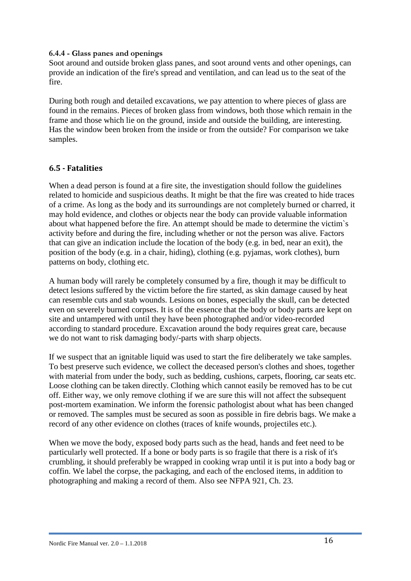#### **6.4.4 - Glass panes and openings**

Soot around and outside broken glass panes, and soot around vents and other openings, can provide an indication of the fire's spread and ventilation, and can lead us to the seat of the fire.

During both rough and detailed excavations, we pay attention to where pieces of glass are found in the remains. Pieces of broken glass from windows, both those which remain in the frame and those which lie on the ground, inside and outside the building, are interesting. Has the window been broken from the inside or from the outside? For comparison we take samples.

#### <span id="page-17-0"></span>**6.5 - Fatalities**

When a dead person is found at a fire site, the investigation should follow the guidelines related to homicide and suspicious deaths. It might be that the fire was created to hide traces of a crime. As long as the body and its surroundings are not completely burned or charred, it may hold evidence, and clothes or objects near the body can provide valuable information about what happened before the fire. An attempt should be made to determine the victim`s activity before and during the fire, including whether or not the person was alive. Factors that can give an indication include the location of the body (e.g. in bed, near an exit), the position of the body (e.g. in a chair, hiding), clothing (e.g. pyjamas, work clothes), burn patterns on body, clothing etc.

A human body will rarely be completely consumed by a fire, though it may be difficult to detect lesions suffered by the victim before the fire started, as skin damage caused by heat can resemble cuts and stab wounds. Lesions on bones, especially the skull, can be detected even on severely burned corpses. It is of the essence that the body or body parts are kept on site and untampered with until they have been photographed and/or video-recorded according to standard procedure. Excavation around the body requires great care, because we do not want to risk damaging body/-parts with sharp objects.

If we suspect that an ignitable liquid was used to start the fire deliberately we take samples. To best preserve such evidence, we collect the deceased person's clothes and shoes, together with material from under the body, such as bedding, cushions, carpets, flooring, car seats etc. Loose clothing can be taken directly. Clothing which cannot easily be removed has to be cut off. Either way, we only remove clothing if we are sure this will not affect the subsequent post-mortem examination. We inform the forensic pathologist about what has been changed or removed. The samples must be secured as soon as possible in fire debris bags. We make a record of any other evidence on clothes (traces of knife wounds, projectiles etc.).

When we move the body, exposed body parts such as the head, hands and feet need to be particularly well protected. If a bone or body parts is so fragile that there is a risk of it's crumbling, it should preferably be wrapped in cooking wrap until it is put into a body bag or coffin. We label the corpse, the packaging, and each of the enclosed items, in addition to photographing and making a record of them. Also see NFPA 921, Ch. 23.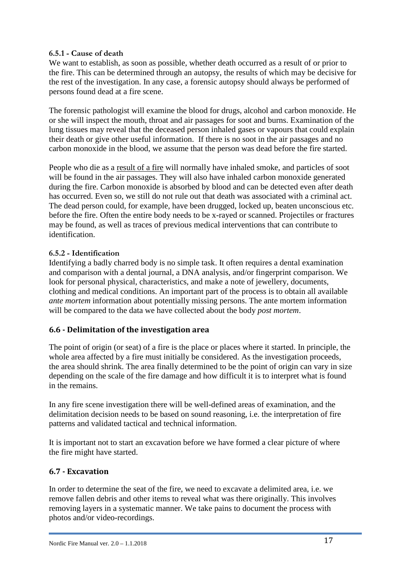#### **6.5.1 - Cause of death**

We want to establish, as soon as possible, whether death occurred as a result of or prior to the fire. This can be determined through an autopsy, the results of which may be decisive for the rest of the investigation. In any case, a forensic autopsy should always be performed of persons found dead at a fire scene.

The forensic pathologist will examine the blood for drugs, alcohol and carbon monoxide. He or she will inspect the mouth, throat and air passages for soot and burns. Examination of the lung tissues may reveal that the deceased person inhaled gases or vapours that could explain their death or give other useful information. If there is no soot in the air passages and no carbon monoxide in the blood, we assume that the person was dead before the fire started.

People who die as a result of a fire will normally have inhaled smoke, and particles of soot will be found in the air passages. They will also have inhaled carbon monoxide generated during the fire. Carbon monoxide is absorbed by blood and can be detected even after death has occurred. Even so, we still do not rule out that death was associated with a criminal act. The dead person could, for example, have been drugged, locked up, beaten unconscious etc. before the fire. Often the entire body needs to be x-rayed or scanned. Projectiles or fractures may be found, as well as traces of previous medical interventions that can contribute to identification.

#### **6.5.2 - Identification**

Identifying a badly charred body is no simple task. It often requires a dental examination and comparison with a dental journal, a DNA analysis, and/or fingerprint comparison. We look for personal physical, characteristics, and make a note of jewellery, documents, clothing and medical conditions. An important part of the process is to obtain all available *ante mortem* information about potentially missing persons. The ante mortem information will be compared to the data we have collected about the body *post mortem*.

#### <span id="page-18-0"></span>**6.6 - Delimitation of the investigation area**

The point of origin (or seat) of a fire is the place or places where it started. In principle, the whole area affected by a fire must initially be considered. As the investigation proceeds, the area should shrink. The area finally determined to be the point of origin can vary in size depending on the scale of the fire damage and how difficult it is to interpret what is found in the remains.

In any fire scene investigation there will be well-defined areas of examination, and the delimitation decision needs to be based on sound reasoning, i.e. the interpretation of fire patterns and validated tactical and technical information.

It is important not to start an excavation before we have formed a clear picture of where the fire might have started.

#### <span id="page-18-1"></span>**6.7 - Excavation**

In order to determine the seat of the fire, we need to excavate a delimited area, i.e. we remove fallen debris and other items to reveal what was there originally. This involves removing layers in a systematic manner. We take pains to document the process with photos and/or video-recordings.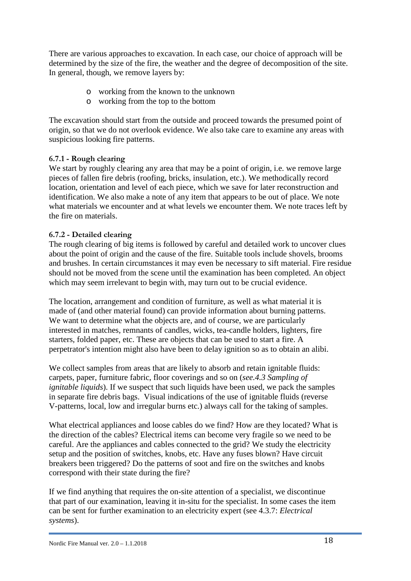There are various approaches to excavation. In each case, our choice of approach will be determined by the size of the fire, the weather and the degree of decomposition of the site. In general, though, we remove layers by:

- o working from the known to the unknown
- o working from the top to the bottom

The excavation should start from the outside and proceed towards the presumed point of origin, so that we do not overlook evidence. We also take care to examine any areas with suspicious looking fire patterns.

#### **6.7.1 - Rough clearing**

We start by roughly clearing any area that may be a point of origin, i.e. we remove large pieces of fallen fire debris (roofing, bricks, insulation, etc.). We methodically record location, orientation and level of each piece, which we save for later reconstruction and identification. We also make a note of any item that appears to be out of place. We note what materials we encounter and at what levels we encounter them. We note traces left by the fire on materials.

#### **6.7.2 - Detailed clearing**

The rough clearing of big items is followed by careful and detailed work to uncover clues about the point of origin and the cause of the fire. Suitable tools include shovels, brooms and brushes. In certain circumstances it may even be necessary to sift material. Fire residue should not be moved from the scene until the examination has been completed. An object which may seem irrelevant to begin with, may turn out to be crucial evidence.

The location, arrangement and condition of furniture, as well as what material it is made of (and other material found) can provide information about burning patterns. We want to determine what the objects are, and of course, we are particularly interested in matches, remnants of candles, wicks, tea-candle holders, lighters, fire starters, folded paper, etc. These are objects that can be used to start a fire. A perpetrator's intention might also have been to delay ignition so as to obtain an alibi.

We collect samples from areas that are likely to absorb and retain ignitable fluids: carpets, paper, furniture fabric, floor coverings and so on (*see.4.3 Sampling of ignitable liquids*). If we suspect that such liquids have been used, we pack the samples in separate fire debris bags. Visual indications of the use of ignitable fluids (reverse V-patterns, local, low and irregular burns etc.) always call for the taking of samples.

What electrical appliances and loose cables do we find? How are they located? What is the direction of the cables? Electrical items can become very fragile so we need to be careful. Are the appliances and cables connected to the grid? We study the electricity setup and the position of switches, knobs, etc. Have any fuses blown? Have circuit breakers been triggered? Do the patterns of soot and fire on the switches and knobs correspond with their state during the fire?

If we find anything that requires the on-site attention of a specialist, we discontinue that part of our examination, leaving it in-situ for the specialist. In some cases the item can be sent for further examination to an electricity expert (see 4.3.7: *Electrical systems*).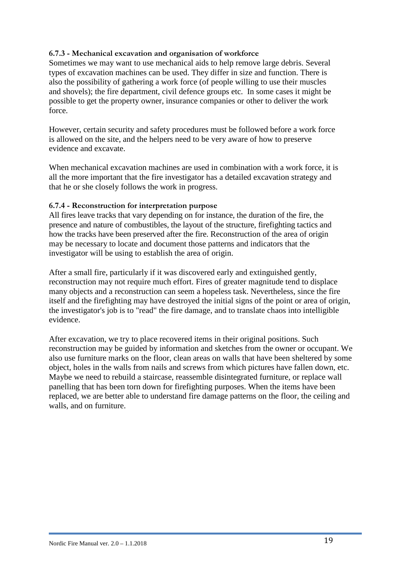#### **6.7.3 - Mechanical excavation and organisation of workforce**

Sometimes we may want to use mechanical aids to help remove large debris. Several types of excavation machines can be used. They differ in size and function. There is also the possibility of gathering a work force (of people willing to use their muscles and shovels); the fire department, civil defence groups etc. In some cases it might be possible to get the property owner, insurance companies or other to deliver the work force.

However, certain security and safety procedures must be followed before a work force is allowed on the site, and the helpers need to be very aware of how to preserve evidence and excavate.

When mechanical excavation machines are used in combination with a work force, it is all the more important that the fire investigator has a detailed excavation strategy and that he or she closely follows the work in progress.

#### **6.7.4 - Reconstruction for interpretation purpose**

All fires leave tracks that vary depending on for instance, the duration of the fire, the presence and nature of combustibles, the layout of the structure, firefighting tactics and how the tracks have been preserved after the fire. Reconstruction of the area of origin may be necessary to locate and document those patterns and indicators that the investigator will be using to establish the area of origin.

After a small fire, particularly if it was discovered early and extinguished gently, reconstruction may not require much effort. Fires of greater magnitude tend to displace many objects and a reconstruction can seem a hopeless task. Nevertheless, since the fire itself and the firefighting may have destroyed the initial signs of the point or area of origin, the investigator's job is to "read" the fire damage, and to translate chaos into intelligible evidence.

<span id="page-20-0"></span>After excavation, we try to place recovered items in their original positions. Such reconstruction may be guided by information and sketches from the owner or occupant. We also use furniture marks on the floor, clean areas on walls that have been sheltered by some object, holes in the walls from nails and screws from which pictures have fallen down, etc. Maybe we need to rebuild a staircase, reassemble disintegrated furniture, or replace wall panelling that has been torn down for firefighting purposes. When the items have been replaced, we are better able to understand fire damage patterns on the floor, the ceiling and walls, and on furniture.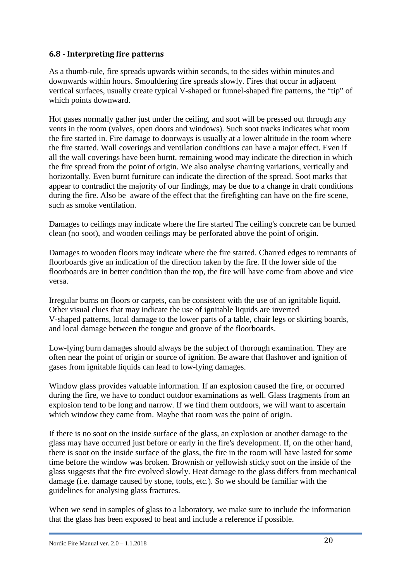#### **6.8 - Interpreting fire patterns**

As a thumb-rule, fire spreads upwards within seconds, to the sides within minutes and downwards within hours. Smouldering fire spreads slowly. Fires that occur in adjacent vertical surfaces, usually create typical V-shaped or funnel-shaped fire patterns, the "tip" of which points downward.

Hot gases normally gather just under the ceiling, and soot will be pressed out through any vents in the room (valves, open doors and windows). Such soot tracks indicates what room the fire started in. Fire damage to doorways is usually at a lower altitude in the room where the fire started. Wall coverings and ventilation conditions can have a major effect. Even if all the wall coverings have been burnt, remaining wood may indicate the direction in which the fire spread from the point of origin. We also analyse charring variations, vertically and horizontally. Even burnt furniture can indicate the direction of the spread. Soot marks that appear to contradict the majority of our findings, may be due to a change in draft conditions during the fire. Also be aware of the effect that the firefighting can have on the fire scene, such as smoke ventilation.

Damages to ceilings may indicate where the fire started The ceiling's concrete can be burned clean (no soot), and wooden ceilings may be perforated above the point of origin.

Damages to wooden floors may indicate where the fire started. Charred edges to remnants of floorboards give an indication of the direction taken by the fire. If the lower side of the floorboards are in better condition than the top, the fire will have come from above and vice versa.

Irregular burns on floors or carpets, can be consistent with the use of an ignitable liquid. Other visual clues that may indicate the use of ignitable liquids are inverted V-shaped patterns, local damage to the lower parts of a table, chair legs or skirting boards, and local damage between the tongue and groove of the floorboards.

Low-lying burn damages should always be the subject of thorough examination. They are often near the point of origin or source of ignition. Be aware that flashover and ignition of gases from ignitable liquids can lead to low-lying damages.

Window glass provides valuable information. If an explosion caused the fire, or occurred during the fire, we have to conduct outdoor examinations as well. Glass fragments from an explosion tend to be long and narrow. If we find them outdoors, we will want to ascertain which window they came from. Maybe that room was the point of origin.

If there is no soot on the inside surface of the glass, an explosion or another damage to the glass may have occurred just before or early in the fire's development. If, on the other hand, there is soot on the inside surface of the glass, the fire in the room will have lasted for some time before the window was broken. Brownish or yellowish sticky soot on the inside of the glass suggests that the fire evolved slowly. Heat damage to the glass differs from mechanical damage (i.e. damage caused by stone, tools, etc.). So we should be familiar with the guidelines for analysing glass fractures.

When we send in samples of glass to a laboratory, we make sure to include the information that the glass has been exposed to heat and include a reference if possible.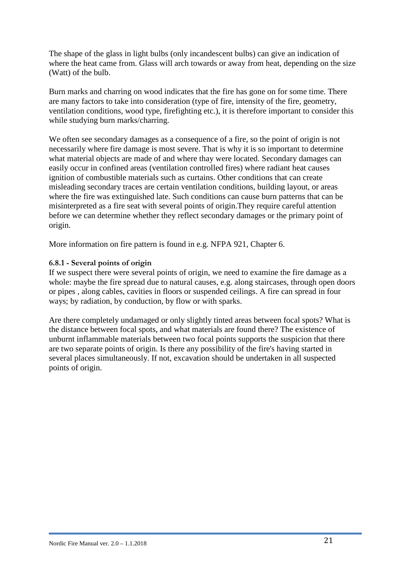The shape of the glass in light bulbs (only incandescent bulbs) can give an indication of where the heat came from. Glass will arch towards or away from heat, depending on the size (Watt) of the bulb.

Burn marks and charring on wood indicates that the fire has gone on for some time. There are many factors to take into consideration (type of fire, intensity of the fire, geometry, ventilation conditions, wood type, firefighting etc.), it is therefore important to consider this while studying burn marks/charring.

We often see secondary damages as a consequence of a fire, so the point of origin is not necessarily where fire damage is most severe. That is why it is so important to determine what material objects are made of and where thay were located. Secondary damages can easily occur in confined areas (ventilation controlled fires) where radiant heat causes ignition of combustible materials such as curtains. Other conditions that can create misleading secondary traces are certain ventilation conditions, building layout, or areas where the fire was extinguished late. Such conditions can cause burn patterns that can be misinterpreted as a fire seat with several points of origin.They require careful attention before we can determine whether they reflect secondary damages or the primary point of origin.

More information on fire pattern is found in e.g. NFPA 921, Chapter 6.

#### **6.8.1 - Several points of origin**

If we suspect there were several points of origin, we need to examine the fire damage as a whole: maybe the fire spread due to natural causes, e.g. along staircases, through open doors or pipes , along cables, cavities in floors or suspended ceilings. A fire can spread in four ways; by radiation, by conduction, by flow or with sparks.

<span id="page-22-0"></span>Are there completely undamaged or only slightly tinted areas between focal spots? What is the distance between focal spots, and what materials are found there? The existence of unburnt inflammable materials between two focal points supports the suspicion that there are two separate points of origin. Is there any possibility of the fire's having started in several places simultaneously. If not, excavation should be undertaken in all suspected points of origin.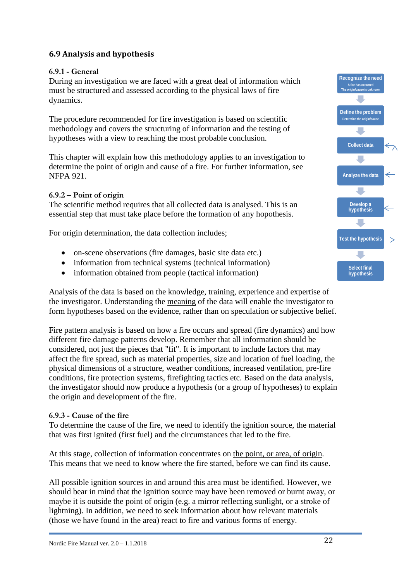#### **6.9 Analysis and hypothesis**

#### **6.9.1 - General**

During an investigation we are faced with a great deal of information which must be structured and assessed according to the physical laws of fire dynamics.

The procedure recommended for fire investigation is based on scientific methodology and covers the structuring of information and the testing of hypotheses with a view to reaching the most probable conclusion.

This chapter will explain how this methodology applies to an investigation to determine the point of origin and cause of a fire. For further information, see NFPA 921.

#### **6.9.2 – Point of origin**

The scientific method requires that all collected data is analysed. This is an essential step that must take place before the formation of any hopothesis.

For origin determination, the data collection includes;

- on-scene observations (fire damages, basic site data etc.)
- information from technical systems (technical information)
- information obtained from people (tactical information)

Analysis of the data is based on the knowledge, training, experience and expertise of the investigator. Understanding the meaning of the data will enable the investigator to form hypotheses based on the evidence, rather than on speculation or subjective belief.

Fire pattern analysis is based on how a fire occurs and spread (fire dynamics) and how different fire damage patterns develop. Remember that all information should be considered, not just the pieces that "fit". It is important to include factors that may affect the fire spread, such as material properties, size and location of fuel loading, the physical dimensions of a structure, weather conditions, increased ventilation, pre-fire conditions, fire protection systems, firefighting tactics etc. Based on the data analysis, the investigator should now produce a hypothesis (or a group of hypotheses) to explain the origin and development of the fire.

#### **6.9.3 - Cause of the fire**

To determine the cause of the fire, we need to identify the ignition source, the material that was first ignited (first fuel) and the circumstances that led to the fire.

At this stage, collection of information concentrates on the point, or area, of origin. This means that we need to know where the fire started, before we can find its cause.

All possible ignition sources in and around this area must be identified. However, we should bear in mind that the ignition source may have been removed or burnt away, or maybe it is outside the point of origin (e.g. a mirror reflecting sunlight, or a stroke of lightning). In addition, we need to seek information about how relevant materials (those we have found in the area) react to fire and various forms of energy.

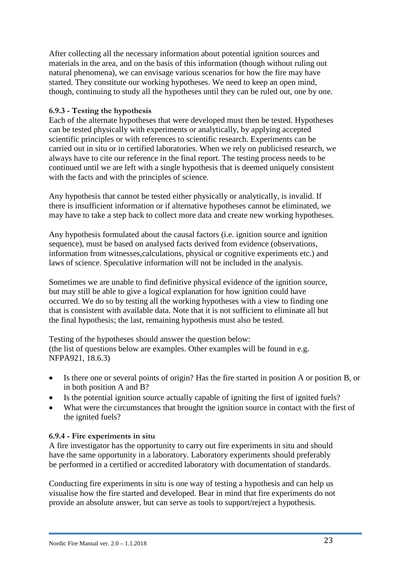After collecting all the necessary information about potential ignition sources and materials in the area, and on the basis of this information (though without ruling out natural phenomena), we can envisage various scenarios for how the fire may have started. They constitute our working hypotheses. We need to keep an open mind, though, continuing to study all the hypotheses until they can be ruled out, one by one.

#### **6.9.3 - Testing the hypothesis**

Each of the alternate hypotheses that were developed must then be tested. Hypotheses can be tested physically with experiments or analytically, by applying accepted scientific principles or with references to scientific research. Experiments can be carried out in situ or in certified laboratories. When we rely on publicised research, we always have to cite our reference in the final report. The testing process needs to be continued until we are left with a single hypothesis that is deemed uniquely consistent with the facts and with the principles of science.

Any hypothesis that cannot be tested either physically or analytically, is invalid. If there is insufficient information or if alternative hypotheses cannot be eliminated, we may have to take a step back to collect more data and create new working hypotheses.

Any hypothesis formulated about the causal factors (i.e. ignition source and ignition sequence), must be based on analysed facts derived from evidence (observations, information from witnesses,calculations, physical or cognitive experiments etc.) and laws of science. Speculative information will not be included in the analysis.

Sometimes we are unable to find definitive physical evidence of the ignition source, but may still be able to give a logical explanation for how ignition could have occurred. We do so by testing all the working hypotheses with a view to finding one that is consistent with available data. Note that it is not sufficient to eliminate all but the final hypothesis; the last, remaining hypothesis must also be tested.

Testing of the hypotheses should answer the question below: (the list of questions below are examples. Other examples will be found in e.g. NFPA921, 18.6.3)

- Is there one or several points of origin? Has the fire started in position A or position B, or in both position A and B?
- Is the potential ignition source actually capable of igniting the first of ignited fuels?
- What were the circumstances that brought the ignition source in contact with the first of the ignited fuels?

#### **6.9.4 - Fire experiments in situ**

A fire investigator has the opportunity to carry out fire experiments in situ and should have the same opportunity in a laboratory. Laboratory experiments should preferably be performed in a certified or accredited laboratory with documentation of standards.

Conducting fire experiments in situ is one way of testing a hypothesis and can help us visualise how the fire started and developed. Bear in mind that fire experiments do not provide an absolute answer, but can serve as tools to support/reject a hypothesis.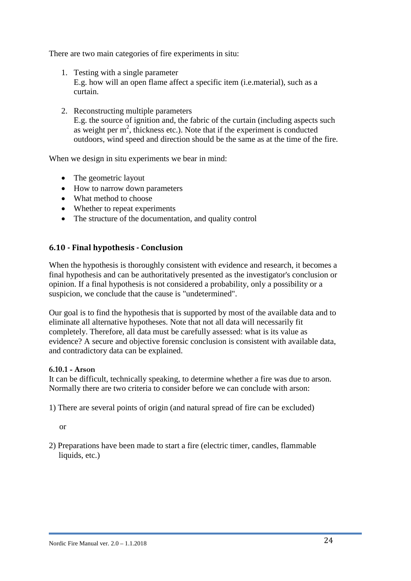There are two main categories of fire experiments in situ:

- 1. Testing with a single parameter E.g. how will an open flame affect a specific item (i.e.material), such as a curtain.
- 2. Reconstructing multiple parameters E.g. the source of ignition and, the fabric of the curtain (including aspects such as weight per  $m^2$ , thickness etc.). Note that if the experiment is conducted outdoors, wind speed and direction should be the same as at the time of the fire.

When we design in situ experiments we bear in mind:

- The geometric layout
- How to narrow down parameters
- What method to choose
- Whether to repeat experiments
- The structure of the documentation, and quality control

#### <span id="page-25-0"></span>**6.10 - Final hypothesis - Conclusion**

When the hypothesis is thoroughly consistent with evidence and research, it becomes a final hypothesis and can be authoritatively presented as the investigator's conclusion or opinion. If a final hypothesis is not considered a probability, only a possibility or a suspicion, we conclude that the cause is "undetermined".

Our goal is to find the hypothesis that is supported by most of the available data and to eliminate all alternative hypotheses. Note that not all data will necessarily fit completely. Therefore, all data must be carefully assessed: what is its value as evidence? A secure and objective forensic conclusion is consistent with available data, and contradictory data can be explained.

#### **6.10.1 - Arson**

It can be difficult, technically speaking, to determine whether a fire was due to arson. Normally there are two criteria to consider before we can conclude with arson:

1) There are several points of origin (and natural spread of fire can be excluded)

or

2) Preparations have been made to start a fire (electric timer, candles, flammable liquids, etc.)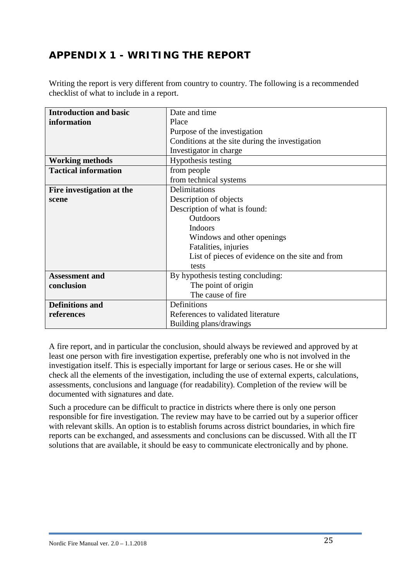# <span id="page-26-0"></span>**APPENDIX 1 - WRITING THE REPORT**

Writing the report is very different from country to country. The following is a recommended checklist of what to include in a report.

| <b>Introduction and basic</b> | Date and time                                   |  |
|-------------------------------|-------------------------------------------------|--|
| information                   | Place                                           |  |
|                               | Purpose of the investigation                    |  |
|                               | Conditions at the site during the investigation |  |
|                               | Investigator in charge                          |  |
| <b>Working methods</b>        | Hypothesis testing                              |  |
| <b>Tactical information</b>   | from people                                     |  |
|                               | from technical systems                          |  |
| Fire investigation at the     | Delimitations                                   |  |
| scene                         | Description of objects                          |  |
|                               | Description of what is found:                   |  |
|                               | <b>Outdoors</b>                                 |  |
|                               | <b>Indoors</b>                                  |  |
|                               | Windows and other openings                      |  |
|                               | Fatalities, injuries                            |  |
|                               | List of pieces of evidence on the site and from |  |
|                               | tests                                           |  |
| <b>Assessment and</b>         | By hypothesis testing concluding:               |  |
| conclusion                    | The point of origin                             |  |
|                               | The cause of fire                               |  |
| <b>Definitions and</b>        | Definitions                                     |  |
| references                    | References to validated literature              |  |
|                               | Building plans/drawings                         |  |

A fire report, and in particular the conclusion, should always be reviewed and approved by at least one person with fire investigation expertise, preferably one who is not involved in the investigation itself. This is especially important for large or serious cases. He or she will check all the elements of the investigation, including the use of external experts, calculations, assessments, conclusions and language (for readability). Completion of the review will be documented with signatures and date.

Such a procedure can be difficult to practice in districts where there is only one person responsible for fire investigation. The review may have to be carried out by a superior officer with relevant skills. An option is to establish forums across district boundaries, in which fire reports can be exchanged, and assessments and conclusions can be discussed. With all the IT solutions that are available, it should be easy to communicate electronically and by phone.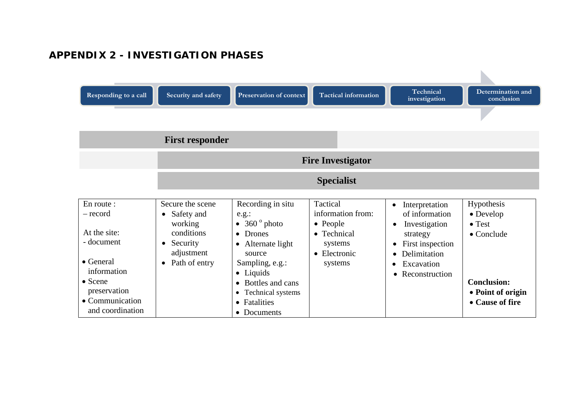# **APPENDIX 2 - INVESTIGATION PHASES**

<span id="page-27-0"></span>

| Responding to a call                                                                                                                                               | Security and safety<br><b>First responder</b>                                                                                             | <b>Preservation of context</b>                                                                                                                                                                                                                             | <b>Tactical information</b>                                                                    | Technical<br>investigation                                                                                                                                                                                      | Determination and<br>conclusion                                                                                               |
|--------------------------------------------------------------------------------------------------------------------------------------------------------------------|-------------------------------------------------------------------------------------------------------------------------------------------|------------------------------------------------------------------------------------------------------------------------------------------------------------------------------------------------------------------------------------------------------------|------------------------------------------------------------------------------------------------|-----------------------------------------------------------------------------------------------------------------------------------------------------------------------------------------------------------------|-------------------------------------------------------------------------------------------------------------------------------|
|                                                                                                                                                                    |                                                                                                                                           |                                                                                                                                                                                                                                                            | <b>Fire Investigator</b>                                                                       |                                                                                                                                                                                                                 |                                                                                                                               |
|                                                                                                                                                                    |                                                                                                                                           |                                                                                                                                                                                                                                                            | <b>Specialist</b>                                                                              |                                                                                                                                                                                                                 |                                                                                                                               |
| En route :<br>– record<br>At the site:<br>- document<br>$\bullet$ General<br>information<br>$\bullet$ Scene<br>preservation<br>• Communication<br>and coordination | Secure the scene<br>Safety and<br>$\bullet$<br>working<br>conditions<br>Security<br>$\bullet$<br>adjustment<br>Path of entry<br>$\bullet$ | Recording in situ<br>e.g.:<br>$\bullet$ 360 $^{\circ}$ photo<br>• Drones<br>Alternate light<br>$\bullet$<br>source<br>Sampling, e.g.:<br>$\bullet$ Liquids<br>Bottles and cans<br>Technical systems<br>$\bullet$<br>Fatalities<br>$\bullet$<br>• Documents | Tactical<br>information from:<br>• People<br>• Technical<br>systems<br>• Electronic<br>systems | Interpretation<br>$\bullet$<br>of information<br>Investigation<br>$\bullet$<br>strategy<br>First inspection<br>$\bullet$<br>Delimitation<br>$\bullet$<br>Excavation<br>$\bullet$<br>Reconstruction<br>$\bullet$ | Hypothesis<br>• Develop<br>$\bullet$ Test<br>$\bullet$ Conclude<br><b>Conclusion:</b><br>• Point of origin<br>• Cause of fire |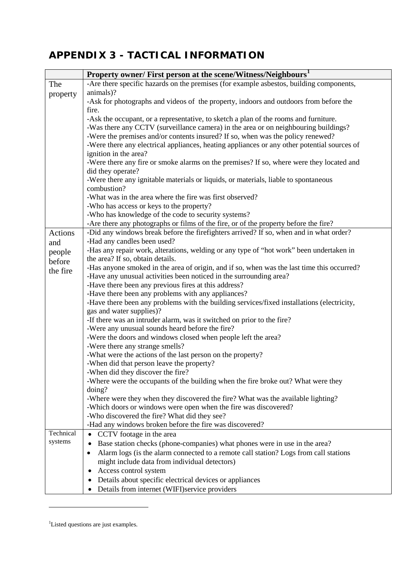# <span id="page-28-0"></span>**APPENDIX 3 - TACTICAL INFORMATION**

|           | Property owner/ First person at the scene/Witness/Neighbours <sup>1</sup>                         |
|-----------|---------------------------------------------------------------------------------------------------|
| The       | -Are there specific hazards on the premises (for example asbestos, building components,           |
| property  | animals)?                                                                                         |
|           | -Ask for photographs and videos of the property, indoors and outdoors from before the             |
|           | fire.                                                                                             |
|           | -Ask the occupant, or a representative, to sketch a plan of the rooms and furniture.              |
|           | -Was there any CCTV (surveillance camera) in the area or on neighbouring buildings?               |
|           | -Were the premises and/or contents insured? If so, when was the policy renewed?                   |
|           | -Were there any electrical appliances, heating appliances or any other potential sources of       |
|           | ignition in the area?                                                                             |
|           | -Were there any fire or smoke alarms on the premises? If so, where were they located and          |
|           | did they operate?                                                                                 |
|           | -Were there any ignitable materials or liquids, or materials, liable to spontaneous               |
|           | combustion?                                                                                       |
|           | -What was in the area where the fire was first observed?                                          |
|           | -Who has access or keys to the property?                                                          |
|           | -Who has knowledge of the code to security systems?                                               |
|           | -Are there any photographs or films of the fire, or of the property before the fire?              |
| Actions   | -Did any windows break before the firefighters arrived? If so, when and in what order?            |
| and       | -Had any candles been used?                                                                       |
| people    | -Has any repair work, alterations, welding or any type of "hot work" been undertaken in           |
| before    | the area? If so, obtain details.                                                                  |
| the fire  | -Has anyone smoked in the area of origin, and if so, when was the last time this occurred?        |
|           | -Have any unusual activities been noticed in the surrounding area?                                |
|           | -Have there been any previous fires at this address?                                              |
|           | -Have there been any problems with any appliances?                                                |
|           | -Have there been any problems with the building services/fixed installations (electricity,        |
|           | gas and water supplies)?                                                                          |
|           | -If there was an intruder alarm, was it switched on prior to the fire?                            |
|           | -Were any unusual sounds heard before the fire?                                                   |
|           | -Were the doors and windows closed when people left the area?                                     |
|           | -Were there any strange smells?                                                                   |
|           | -What were the actions of the last person on the property?                                        |
|           | -When did that person leave the property?                                                         |
|           | -When did they discover the fire?                                                                 |
|           | -Where were the occupants of the building when the fire broke out? What were they                 |
|           | doing?                                                                                            |
|           | -Where were they when they discovered the fire? What was the available lighting?                  |
|           | -Which doors or windows were open when the fire was discovered?                                   |
|           | -Who discovered the fire? What did they see?                                                      |
|           | -Had any windows broken before the fire was discovered?                                           |
| Technical | CCTV footage in the area<br>$\bullet$                                                             |
| systems   | Base station checks (phone-companies) what phones were in use in the area?<br>٠                   |
|           | Alarm logs (is the alarm connected to a remote call station? Logs from call stations<br>$\bullet$ |
|           | might include data from individual detectors)                                                     |
|           | Access control system                                                                             |
|           | Details about specific electrical devices or appliances                                           |
|           | Details from internet (WIFI)service providers                                                     |

<span id="page-28-1"></span><sup>&</sup>lt;sup>1</sup>Listed questions are just examples.

 $\overline{a}$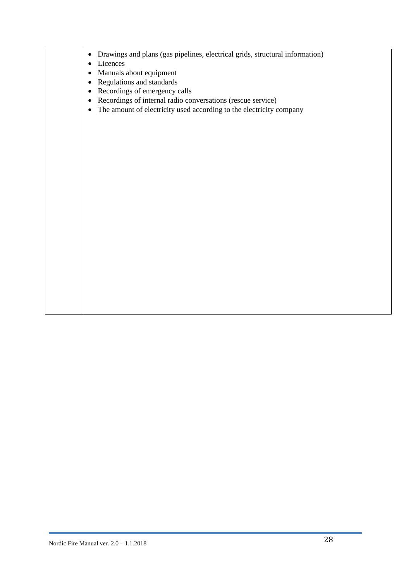| Drawings and plans (gas pipelines, electrical grids, structural information)     |
|----------------------------------------------------------------------------------|
| Licences                                                                         |
| Manuals about equipment<br>$\bullet$                                             |
| Regulations and standards<br>$\bullet$                                           |
| Recordings of emergency calls<br>$\bullet$                                       |
| Recordings of internal radio conversations (rescue service)<br>$\bullet$         |
| The amount of electricity used according to the electricity company<br>$\bullet$ |
|                                                                                  |
|                                                                                  |
|                                                                                  |
|                                                                                  |
|                                                                                  |
|                                                                                  |
|                                                                                  |
|                                                                                  |
|                                                                                  |
|                                                                                  |
|                                                                                  |
|                                                                                  |
|                                                                                  |
|                                                                                  |
|                                                                                  |
|                                                                                  |
|                                                                                  |
|                                                                                  |
|                                                                                  |
|                                                                                  |
|                                                                                  |
|                                                                                  |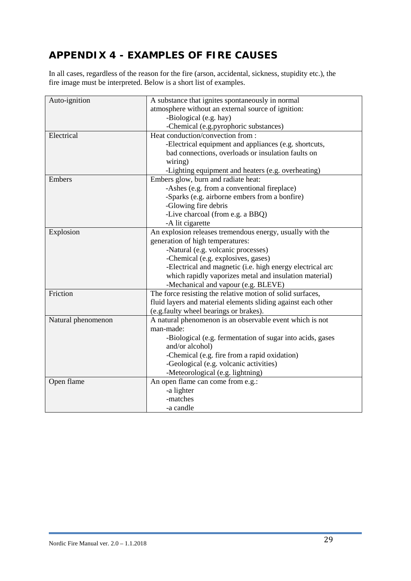## <span id="page-30-0"></span>**APPENDIX 4 - EXAMPLES OF FIRE CAUSES**

In all cases, regardless of the reason for the fire (arson, accidental, sickness, stupidity etc.), the fire image must be interpreted. Below is a short list of examples.

| Auto-ignition      | A substance that ignites spontaneously in normal              |
|--------------------|---------------------------------------------------------------|
|                    | atmosphere without an external source of ignition:            |
|                    | -Biological (e.g. hay)                                        |
|                    | -Chemical (e.g.pyrophoric substances)                         |
| Electrical         | Heat conduction/convection from:                              |
|                    | -Electrical equipment and appliances (e.g. shortcuts,         |
|                    | bad connections, overloads or insulation faults on            |
|                    | wiring)                                                       |
|                    | -Lighting equipment and heaters (e.g. overheating)            |
| Embers             | Embers glow, burn and radiate heat:                           |
|                    | -Ashes (e.g. from a conventional fireplace)                   |
|                    | -Sparks (e.g. airborne embers from a bonfire)                 |
|                    | -Glowing fire debris                                          |
|                    | -Live charcoal (from e.g. a BBQ)                              |
|                    | -A lit cigarette                                              |
| Explosion          | An explosion releases tremendous energy, usually with the     |
|                    | generation of high temperatures:                              |
|                    | -Natural (e.g. volcanic processes)                            |
|                    | -Chemical (e.g. explosives, gases)                            |
|                    | -Electrical and magnetic (i.e. high energy electrical arc     |
|                    | which rapidly vaporizes metal and insulation material)        |
|                    | -Mechanical and vapour (e.g. BLEVE)                           |
| Friction           | The force resisting the relative motion of solid surfaces,    |
|                    | fluid layers and material elements sliding against each other |
|                    | (e.g.faulty wheel bearings or brakes).                        |
| Natural phenomenon | A natural phenomenon is an observable event which is not      |
|                    | man-made:                                                     |
|                    | -Biological (e.g. fermentation of sugar into acids, gases     |
|                    | and/or alcohol)                                               |
|                    | -Chemical (e.g. fire from a rapid oxidation)                  |
|                    | -Geological (e.g. volcanic activities)                        |
|                    | -Meteorological (e.g. lightning)                              |
| Open flame         | An open flame can come from e.g.:                             |
|                    | -a lighter                                                    |
|                    | -matches                                                      |
|                    | -a candle                                                     |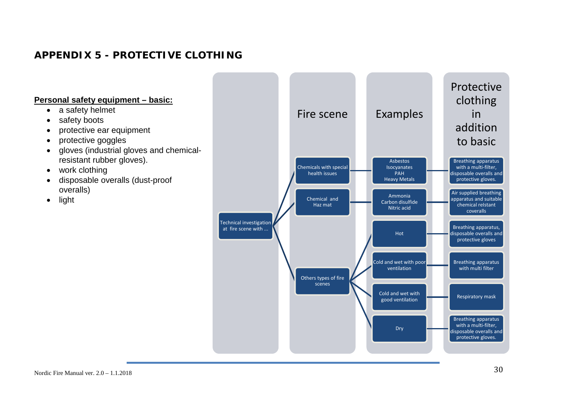## **APPENDIX 5 - PROTECTIVE CLOTHING**

#### **Personal safety equipment – basic:**

- a safety helmet
- safety boots
- protective ear equipment
- protective goggles
- gloves (industrial gloves and chemicalresistant rubber gloves).
- work clothing
- disposable overalls (dust-proof overalls)
- <span id="page-31-0"></span>• light

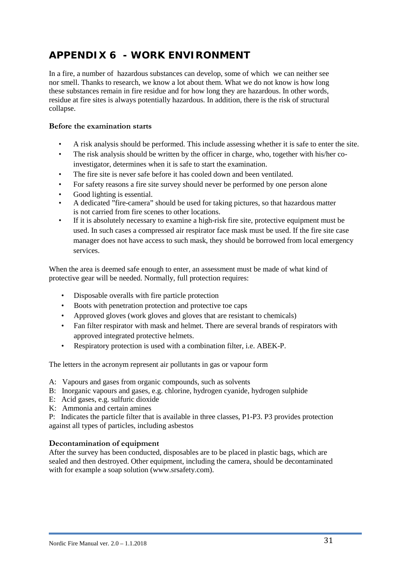## <span id="page-32-0"></span>**APPENDIX 6 - WORK ENVIRONMENT**

In a fire, a number of hazardous substances can develop, some of which we can neither see nor smell. Thanks to research, we know a lot about them. What we do not know is how long these substances remain in fire residue and for how long they are hazardous. In other words, residue at fire sites is always potentially hazardous. In addition, there is the risk of structural collapse.

#### **Before the examination starts**

- A risk analysis should be performed. This include assessing whether it is safe to enter the site.
- The risk analysis should be written by the officer in charge, who, together with his/her coinvestigator, determines when it is safe to start the examination.
- The fire site is never safe before it has cooled down and been ventilated.
- For safety reasons a fire site survey should never be performed by one person alone
- Good lighting is essential.
- A dedicated "fire-camera" should be used for taking pictures, so that hazardous matter is not carried from fire scenes to other locations.
- If it is absolutely necessary to examine a high-risk fire site, protective equipment must be used. In such cases a compressed air respirator face mask must be used. If the fire site case manager does not have access to such mask, they should be borrowed from local emergency services.

When the area is deemed safe enough to enter, an assessment must be made of what kind of protective gear will be needed. Normally, full protection requires:

- Disposable overalls with fire particle protection
- Boots with penetration protection and protective toe caps
- Approved gloves (work gloves and gloves that are resistant to chemicals)
- Fan filter respirator with mask and helmet. There are several brands of respirators with approved integrated protective helmets.
- Respiratory protection is used with a combination filter, i.e. ABEK-P.

The letters in the acronym represent air pollutants in gas or vapour form

- A: Vapours and gases from organic compounds, such as solvents
- B: Inorganic vapours and gases, e.g. chlorine, hydrogen cyanide, hydrogen sulphide
- E: Acid gases, e.g. sulfuric dioxide
- K: Ammonia and certain amines

P: Indicates the particle filter that is available in three classes, P1-P3. P3 provides protection against all types of particles, including asbestos

#### **Decontamination of equipment**

After the survey has been conducted, disposables are to be placed in plastic bags, which are sealed and then destroyed. Other equipment, including the camera, should be decontaminated with for example a soap solution (www.srsafety.com).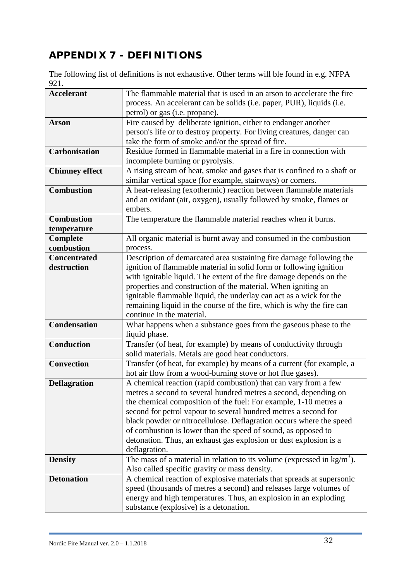# <span id="page-33-0"></span>**APPENDIX 7 - DEFINITIONS**

The following list of definitions is not exhaustive. Other terms will ble found in e.g. NFPA 921.

| <b>Accelerant</b>     | The flammable material that is used in an arson to accelerate the fire                                                                      |
|-----------------------|---------------------------------------------------------------------------------------------------------------------------------------------|
|                       | process. An accelerant can be solids (i.e. paper, PUR), liquids (i.e.                                                                       |
|                       | petrol) or gas (i.e. propane).                                                                                                              |
| <b>Arson</b>          | Fire caused by deliberate ignition, either to endanger another                                                                              |
|                       | person's life or to destroy property. For living creatures, danger can                                                                      |
|                       | take the form of smoke and/or the spread of fire.                                                                                           |
| <b>Carbonisation</b>  | Residue formed in flammable material in a fire in connection with                                                                           |
|                       | incomplete burning or pyrolysis.                                                                                                            |
| <b>Chimney effect</b> | A rising stream of heat, smoke and gases that is confined to a shaft or                                                                     |
|                       | similar vertical space (for example, stairways) or corners.                                                                                 |
| <b>Combustion</b>     | A heat-releasing (exothermic) reaction between flammable materials                                                                          |
|                       | and an oxidant (air, oxygen), usually followed by smoke, flames or                                                                          |
|                       | embers.                                                                                                                                     |
| <b>Combustion</b>     | The temperature the flammable material reaches when it burns.                                                                               |
| temperature           |                                                                                                                                             |
| Complete              | All organic material is burnt away and consumed in the combustion                                                                           |
| combustion            | process.                                                                                                                                    |
| <b>Concentrated</b>   | Description of demarcated area sustaining fire damage following the                                                                         |
| destruction           | ignition of flammable material in solid form or following ignition                                                                          |
|                       | with ignitable liquid. The extent of the fire damage depends on the                                                                         |
|                       | properties and construction of the material. When igniting an                                                                               |
|                       | ignitable flammable liquid, the underlay can act as a wick for the                                                                          |
|                       | remaining liquid in the course of the fire, which is why the fire can                                                                       |
|                       | continue in the material.                                                                                                                   |
| <b>Condensation</b>   | What happens when a substance goes from the gaseous phase to the                                                                            |
|                       | liquid phase.                                                                                                                               |
| <b>Conduction</b>     | Transfer (of heat, for example) by means of conductivity through                                                                            |
|                       | solid materials. Metals are good heat conductors.                                                                                           |
| Convection            | Transfer (of heat, for example) by means of a current (for example, a                                                                       |
|                       | hot air flow from a wood-burning stove or hot flue gases).                                                                                  |
| <b>Deflagration</b>   | A chemical reaction (rapid combustion) that can vary from a few                                                                             |
|                       | metres a second to several hundred metres a second, depending on                                                                            |
|                       | the chemical composition of the fuel: For example, 1-10 metres a                                                                            |
|                       | second for petrol vapour to several hundred metres a second for                                                                             |
|                       | black powder or nitrocellulose. Deflagration occurs where the speed                                                                         |
|                       | of combustion is lower than the speed of sound, as opposed to                                                                               |
|                       | detonation. Thus, an exhaust gas explosion or dust explosion is a                                                                           |
| <b>Density</b>        | deflagration.<br>The mass of a material in relation to its volume (expressed in $\text{kg/m}^3$ ).                                          |
|                       |                                                                                                                                             |
| <b>Detonation</b>     | Also called specific gravity or mass density.                                                                                               |
|                       | A chemical reaction of explosive materials that spreads at supersonic<br>speed (thousands of metres a second) and releases large volumes of |
|                       | energy and high temperatures. Thus, an explosion in an exploding                                                                            |
|                       | substance (explosive) is a detonation.                                                                                                      |
|                       |                                                                                                                                             |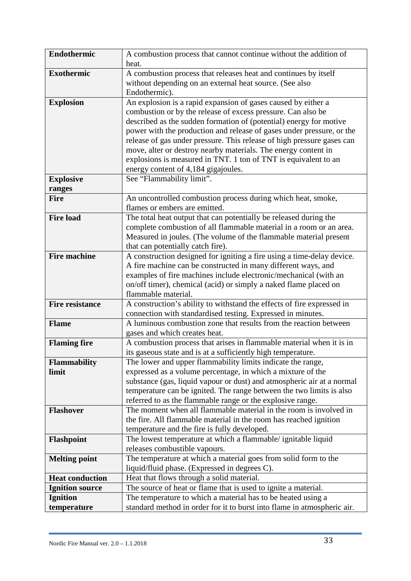| Endothermic            | A combustion process that cannot continue without the addition of                                                                     |
|------------------------|---------------------------------------------------------------------------------------------------------------------------------------|
|                        | heat.                                                                                                                                 |
| <b>Exothermic</b>      | A combustion process that releases heat and continues by itself                                                                       |
|                        | without depending on an external heat source. (See also                                                                               |
|                        | Endothermic).                                                                                                                         |
| <b>Explosion</b>       | An explosion is a rapid expansion of gases caused by either a                                                                         |
|                        | combustion or by the release of excess pressure. Can also be                                                                          |
|                        | described as the sudden formation of (potential) energy for motive                                                                    |
|                        | power with the production and release of gases under pressure, or the                                                                 |
|                        | release of gas under pressure. This release of high pressure gases can                                                                |
|                        | move, alter or destroy nearby materials. The energy content in                                                                        |
|                        | explosions is measured in TNT. 1 ton of TNT is equivalent to an                                                                       |
|                        | energy content of 4,184 gigajoules.                                                                                                   |
| <b>Explosive</b>       | See "Flammability limit".                                                                                                             |
| ranges                 |                                                                                                                                       |
| <b>Fire</b>            | An uncontrolled combustion process during which heat, smoke,                                                                          |
|                        | flames or embers are emitted.                                                                                                         |
| <b>Fire load</b>       | The total heat output that can potentially be released during the                                                                     |
|                        | complete combustion of all flammable material in a room or an area.                                                                   |
|                        | Measured in joules. (The volume of the flammable material present                                                                     |
|                        | that can potentially catch fire).                                                                                                     |
| <b>Fire machine</b>    | A construction designed for igniting a fire using a time-delay device.                                                                |
|                        | A fire machine can be constructed in many different ways, and                                                                         |
|                        | examples of fire machines include electronic/mechanical (with an                                                                      |
|                        | on/off timer), chemical (acid) or simply a naked flame placed on<br>flammable material.                                               |
| <b>Fire resistance</b> |                                                                                                                                       |
|                        | A construction's ability to withstand the effects of fire expressed in<br>connection with standardised testing. Expressed in minutes. |
| <b>Flame</b>           | A luminous combustion zone that results from the reaction between                                                                     |
|                        | gases and which creates heat.                                                                                                         |
| <b>Flaming fire</b>    | A combustion process that arises in flammable material when it is in                                                                  |
|                        | its gaseous state and is at a sufficiently high temperature.                                                                          |
| <b>Flammability</b>    | The lower and upper flammability limits indicate the range,                                                                           |
| limit                  | expressed as a volume percentage, in which a mixture of the                                                                           |
|                        | substance (gas, liquid vapour or dust) and atmospheric air at a normal                                                                |
|                        | temperature can be ignited. The range between the two limits is also                                                                  |
|                        | referred to as the flammable range or the explosive range.                                                                            |
| <b>Flashover</b>       | The moment when all flammable material in the room is involved in                                                                     |
|                        | the fire. All flammable material in the room has reached ignition                                                                     |
|                        | temperature and the fire is fully developed.                                                                                          |
| <b>Flashpoint</b>      | The lowest temperature at which a flammable/ignitable liquid                                                                          |
|                        | releases combustible vapours.                                                                                                         |
| <b>Melting point</b>   | The temperature at which a material goes from solid form to the                                                                       |
|                        | liquid/fluid phase. (Expressed in degrees C).                                                                                         |
| <b>Heat conduction</b> | Heat that flows through a solid material.                                                                                             |
| <b>Ignition source</b> | The source of heat or flame that is used to ignite a material.                                                                        |
| <b>Ignition</b>        | The temperature to which a material has to be heated using a                                                                          |
| temperature            | standard method in order for it to burst into flame in atmospheric air.                                                               |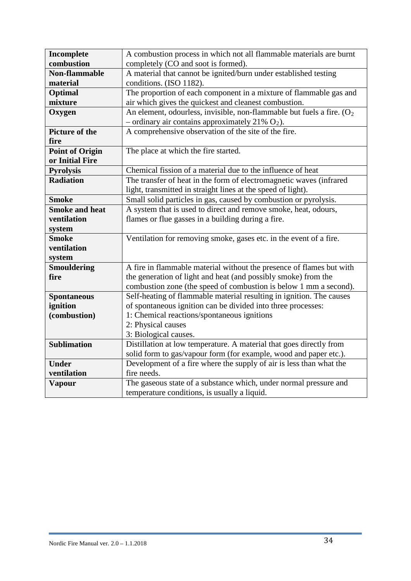| Incomplete             | A combustion process in which not all flammable materials are burnt       |
|------------------------|---------------------------------------------------------------------------|
| combustion             | completely (CO and soot is formed).                                       |
| Non-flammable          | A material that cannot be ignited/burn under established testing          |
| material               | conditions. (ISO 1182).                                                   |
| Optimal                | The proportion of each component in a mixture of flammable gas and        |
| mixture                | air which gives the quickest and cleanest combustion.                     |
| Oxygen                 | An element, odourless, invisible, non-flammable but fuels a fire. $(O_2)$ |
|                        | – ordinary air contains approximately 21% $O_2$ ).                        |
| Picture of the         | A comprehensive observation of the site of the fire.                      |
| fire                   |                                                                           |
| <b>Point of Origin</b> | The place at which the fire started.                                      |
| or Initial Fire        |                                                                           |
| <b>Pyrolysis</b>       | Chemical fission of a material due to the influence of heat               |
| <b>Radiation</b>       | The transfer of heat in the form of electromagnetic waves (infrared       |
|                        | light, transmitted in straight lines at the speed of light).              |
| <b>Smoke</b>           | Small solid particles in gas, caused by combustion or pyrolysis.          |
| <b>Smoke and heat</b>  | A system that is used to direct and remove smoke, heat, odours,           |
| ventilation            | flames or flue gasses in a building during a fire.                        |
| system                 |                                                                           |
| <b>Smoke</b>           | Ventilation for removing smoke, gases etc. in the event of a fire.        |
| ventilation            |                                                                           |
| system                 |                                                                           |
| <b>Smouldering</b>     | A fire in flammable material without the presence of flames but with      |
| fire                   | the generation of light and heat (and possibly smoke) from the            |
|                        | combustion zone (the speed of combustion is below 1 mm a second).         |
| <b>Spontaneous</b>     | Self-heating of flammable material resulting in ignition. The causes      |
| ignition               | of spontaneous ignition can be divided into three processes:              |
| (combustion)           | 1: Chemical reactions/spontaneous ignitions                               |
|                        | 2: Physical causes                                                        |
|                        | 3: Biological causes.                                                     |
| <b>Sublimation</b>     | Distillation at low temperature. A material that goes directly from       |
|                        | solid form to gas/vapour form (for example, wood and paper etc.).         |
| <b>Under</b>           | Development of a fire where the supply of air is less than what the       |
| ventilation            | fire needs.                                                               |
| <b>Vapour</b>          | The gaseous state of a substance which, under normal pressure and         |
|                        | temperature conditions, is usually a liquid.                              |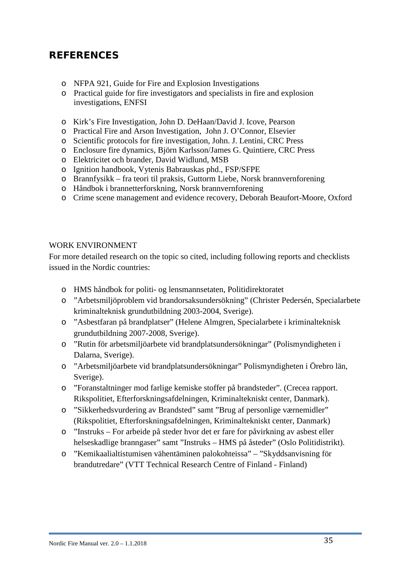## <span id="page-36-0"></span>**REFERENCES**

- o NFPA 921, Guide for Fire and Explosion Investigations
- o Practical guide for fire investigators and specialists in fire and explosion investigations, ENFSI
- o Kirk's Fire Investigation, John D. DeHaan/David J. Icove, Pearson
- o Practical Fire and Arson Investigation, John J. O'Connor, Elsevier
- o Scientific protocols for fire investigation, John. J. Lentini, CRC Press
- o Enclosure fire dynamics, Björn Karlsson/James G. Quintiere, CRC Press
- o Elektricitet och brander, David Widlund, MSB
- o Ignition handbook, Vytenis Babrauskas phd., FSP/SFPE
- o Brannfysikk fra teori til praksis, Guttorm Liebe, Norsk brannvernforening
- o Håndbok i brannetterforskning, Norsk brannvernforening
- o Crime scene management and evidence recovery, Deborah Beaufort-Moore, Oxford

#### WORK ENVIRONMENT

For more detailed research on the topic so cited, including following reports and checklists issued in the Nordic countries:

- o HMS håndbok for politi- og lensmannsetaten, Politidirektoratet
- o "Arbetsmiljöproblem vid brandorsaksundersökning" (Christer Pedersén, Specialarbete kriminalteknisk grundutbildning 2003-2004, Sverige).
- o "Asbestfaran på brandplatser" (Helene Almgren, Specialarbete i kriminalteknisk grundutbildning 2007-2008, Sverige).
- o "Rutin för arbetsmiljöarbete vid brandplatsundersökningar" (Polismyndigheten i Dalarna, Sverige).
- o "Arbetsmiljöarbete vid brandplatsundersökningar" Polismyndigheten i Örebro län, Sverige).
- o "Foranstaltninger mod farlige kemiske stoffer på brandsteder". (Crecea rapport. Rikspolitiet, Efterforskningsafdelningen, Kriminaltekniskt center, Danmark).
- o "Sikkerhedsvurdering av Brandsted" samt "Brug af personlige værnemidler" (Rikspolitiet, Efterforskningsafdelningen, Kriminaltekniskt center, Danmark)
- o "Instruks For arbeide på steder hvor det er fare for påvirkning av asbest eller helseskadlige branngaser" samt "Instruks – HMS på åsteder" (Oslo Politidistrikt).
- o "Kemikaalialtistumisen vähentäminen palokohteissa" "Skyddsanvisning för brandutredare" (VTT Technical Research Centre of Finland - Finland)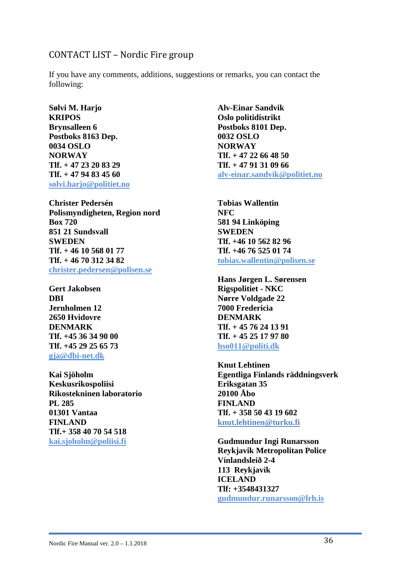#### CONTACT LIST – Nordic Fire group

If you have any comments, additions, suggestions or remarks, you can contact the following:

**Sølvi M. Harjo KRIPOS Brynsalleen 6 Postboks 8163 Dep. 0034 OSLO NORWAY Tlf. + 47 23 20 83 29 Tlf. + 47 94 83 45 60 [solvi.harjo@politiet.no](mailto:solvi.harjo@politiet.no)**

**Christer Pedersén Polismyndigheten, Region nord Box 720 851 21 Sundsvall SWEDEN Tlf. + 46 10 568 01 77 Tlf. + 46 70 312 34 82 [christer.pedersen@polisen.se](mailto:christer.pedersen@polisen.se)**

**Gert Jakobsen DBI Jernholmen 12 2650 Hvidovre DENMARK Tlf. +45 36 34 90 00 Tlf. +45 29 25 65 73 [gja@dbi-net.dk](mailto:gja@dbi-net.dk)**

**Kai Sjöholm Keskusrikospoliisi Rikostekninen laboratorio PL 285 01301 Vantaa FINLAND Tlf.+ 358 40 70 54 518 [kai.sjoholm@poliisi.fi](mailto:kai.sjoholm@poliisi.fi)**

**Alv-Einar Sandvik Oslo politidistrikt Postboks 8101 Dep. 0032 OSLO NORWAY Tlf. + 47 22 66 48 50 Tlf. + 47 91 31 09 66 [alv-einar.sandvik@politiet.no](mailto:alv-einar.sandvik@politiet.no)**

**Tobias Wallentin NFC 581 94 Linköping SWEDEN Tlf. +46 10 562 82 96 Tlf. +46 76 525 01 74 [tobias.wallentin@polisen.se](mailto:tobias.wallentin@polisen.se)**

**Hans Jørgen L. Sørensen Rigspolitiet - NKC Nørre Voldgade 22 7000 Fredericia DENMARK Tlf. + 45 76 24 13 91 Tlf. + 45 25 17 97 80 [hso011@politi.dk](mailto:hso011@politi.dk)**

**Knut Lehtinen Egentliga Finlands räddningsverk Eriksgatan 35 20100 Åbo FINLAND Tlf. + 358 50 43 19 602 [knut.lehtinen@turku.fi](mailto:knut.lehtinen@turku.fi)**

**Gudmundur Ingi Runarsson Reykjavik Metropolitan Police Vínlandsleið 2-4 113 Reykjavík ICELAND Tlf: +3548431327 [gudmundur.runarsson@lrh.is](mailto:gudmundur.runarsson@lrh.is)**